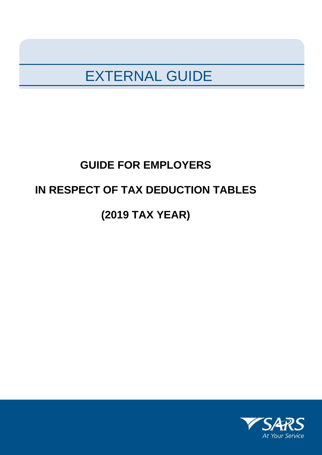## EXTERNAL GUIDE

# **GUIDE FOR EMPLOYERS IN RESPECT OF TAX DEDUCTION TABLES (2019 TAX YEAR)**

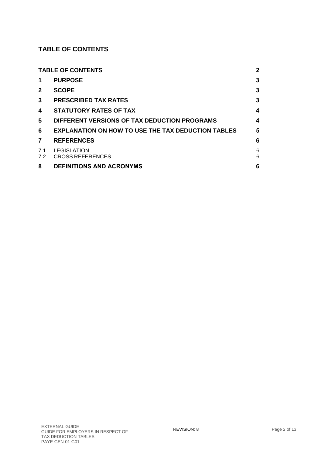### <span id="page-1-0"></span>**TABLE OF CONTENTS**

|              | <b>TABLE OF CONTENTS</b>                                  | 2      |
|--------------|-----------------------------------------------------------|--------|
| 1            | <b>PURPOSE</b>                                            | 3      |
| $\mathbf{2}$ | <b>SCOPE</b>                                              | 3      |
| 3            | <b>PRESCRIBED TAX RATES</b>                               | 3      |
| 4            | <b>STATUTORY RATES OF TAX</b>                             | 4      |
| 5            | DIFFERENT VERSIONS OF TAX DEDUCTION PROGRAMS              | 4      |
| 6            | <b>EXPLANATION ON HOW TO USE THE TAX DEDUCTION TABLES</b> | 5      |
| 7            | <b>REFERENCES</b>                                         | 6      |
| 7.1<br>7.2   | <b>LEGISLATION</b><br><b>CROSS REFERENCES</b>             | 6<br>6 |
| 8            | <b>DEFINITIONS AND ACRONYMS</b>                           | 6      |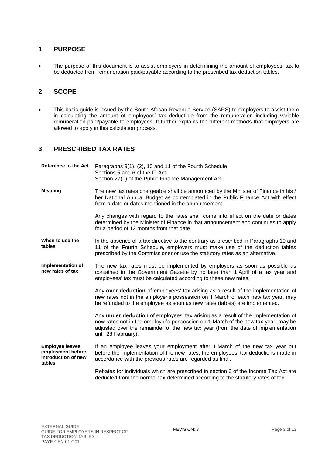#### <span id="page-2-0"></span>**1 PURPOSE**

• The purpose of this document is to assist employers in determining the amount of employees' tax to be deducted from remuneration paid/payable according to the prescribed tax deduction tables.

#### <span id="page-2-1"></span>**2 SCOPE**

 This basic guide is issued by the South African Revenue Service (SARS) to employers to assist them in calculating the amount of employees' tax deductible from the remuneration including variable remuneration paid/payable to employees. It further explains the different methods that employers are allowed to apply in this calculation process.

#### <span id="page-2-2"></span>**3 PRESCRIBED TAX RATES**

| <b>Reference to the Act</b>                                                  | Paragraphs 9(1), (2), 10 and 11 of the Fourth Schedule<br>Sections 5 and 6 of the IT Act<br>Section 27(1) of the Public Finance Management Act.                                                                                                                                    |
|------------------------------------------------------------------------------|------------------------------------------------------------------------------------------------------------------------------------------------------------------------------------------------------------------------------------------------------------------------------------|
| <b>Meaning</b>                                                               | The new tax rates chargeable shall be announced by the Minister of Finance in his /<br>her National Annual Budget as contemplated in the Public Finance Act with effect<br>from a date or dates mentioned in the announcement.                                                     |
|                                                                              | Any changes with regard to the rates shall come into effect on the date or dates<br>determined by the Minister of Finance in that announcement and continues to apply<br>for a period of 12 months from that date.                                                                 |
| When to use the<br>tables                                                    | In the absence of a tax directive to the contrary as prescribed in Paragraphs 10 and<br>11 of the Fourth Schedule, employers must make use of the deduction tables<br>prescribed by the Commissioner or use the statutory rates as an alternative.                                 |
| Implementation of<br>new rates of tax                                        | The new tax rates must be implemented by employers as soon as possible as<br>contained in the Government Gazette by no later than 1 April of a tax year and<br>employees' tax must be calculated according to these new rates.                                                     |
|                                                                              | Any over deduction of employees' tax arising as a result of the implementation of<br>new rates not in the employer's possession on 1 March of each new tax year, may<br>be refunded to the employee as soon as new rates (tables) are implemented.                                 |
|                                                                              | Any under deduction of employees' tax arising as a result of the implementation of<br>new rates not in the employer's possession on 1 March of the new tax year, may be<br>adjusted over the remainder of the new tax year (from the date of implementation<br>until 28 February). |
| <b>Employee leaves</b><br>employment before<br>introduction of new<br>tables | If an employee leaves your employment after 1 March of the new tax year but<br>before the implementation of the new rates, the employees' tax deductions made in<br>accordance with the previous rates are regarded as final.                                                      |
|                                                                              | Rebates for individuals which are prescribed in section 6 of the Income Tax Act are<br>deducted from the normal tax determined according to the statutory rates of tax.                                                                                                            |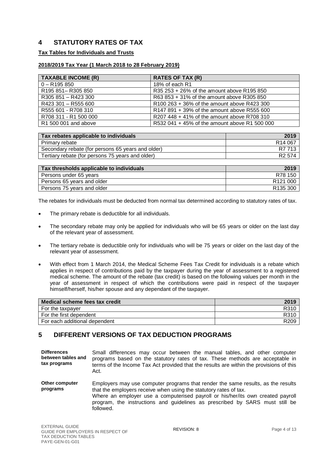#### <span id="page-3-0"></span>**4 STATUTORY RATES OF TAX**

#### **Tax Tables for Individuals and Trusts**

#### **2018/2019 Tax Year (1 March 2018 to 28 February 2019)**

| <b>TAXABLE INCOME (R)</b> | <b>RATES OF TAX (R)</b>                       |
|---------------------------|-----------------------------------------------|
| $0 - R195850$             | 18% of each R1                                |
| R195 851-R305 850         | R35 253 + 26% of the amount above R195 850    |
| R305 851 - R423 300       | R63 853 + 31% of the amount above R305 850    |
| R423 301 - R555 600       | R100 263 + 36% of the amount above R423 300   |
| R555 601 - R708 310       | R147 891 + 39% of the amount above R555 600   |
| R708 311 - R1 500 000     | R207 448 + 41% of the amount above R708 310   |
| R1 500 001 and above      | R532 041 + 45% of the amount above R1 500 000 |

| Tax rebates applicable to individuals             | 2019                |
|---------------------------------------------------|---------------------|
| Primary rebate                                    | R <sub>14</sub> 067 |
| Secondary rebate (for persons 65 years and older) | R7 713              |
| Tertiary rebate (for persons 75 years and older)  | R <sub>2</sub> 574  |

| Tax thresholds applicable to individuals | 2019                 |
|------------------------------------------|----------------------|
| Persons under 65 years                   | R78 150              |
| Persons 65 years and older               | R <sub>121</sub> 000 |
| Persons 75 years and older               | R <sub>135</sub> 300 |

The rebates for individuals must be deducted from normal tax determined according to statutory rates of tax.

- The primary rebate is deductible for all individuals.
- The secondary rebate may only be applied for individuals who will be 65 years or older on the last day of the relevant year of assessment.
- The tertiary rebate is deductible only for individuals who will be 75 years or older on the last day of the relevant year of assessment.
- With effect from 1 March 2014, the Medical Scheme Fees Tax Credit for individuals is a rebate which applies in respect of contributions paid by the taxpayer during the year of assessment to a registered medical scheme. The amount of the rebate (tax credit) is based on the following values per month in the year of assessment in respect of which the contributions were paid in respect of the taxpayer himself/herself, his/her spouse and any dependant of the taxpayer.

| Medical scheme fees tax credit | 2019             |
|--------------------------------|------------------|
| For the taxpayer               | R310             |
| For the first dependent        | R310             |
| For each additional dependent  | R <sub>209</sub> |

#### <span id="page-3-1"></span>**5 DIFFERENT VERSIONS OF TAX DEDUCTION PROGRAMS**

**Differences between tables and tax programs** Small differences may occur between the manual tables, and other computer programs based on the statutory rates of tax. These methods are acceptable in terms of the Income Tax Act provided that the results are within the provisions of this Act. **Other computer programs** Employers may use computer programs that render the same results, as the results that the employers receive when using the statutory rates of tax. Where an employer use a computerised payroll or his/her/its own created payroll program, the instructions and guidelines as prescribed by SARS must still be followed.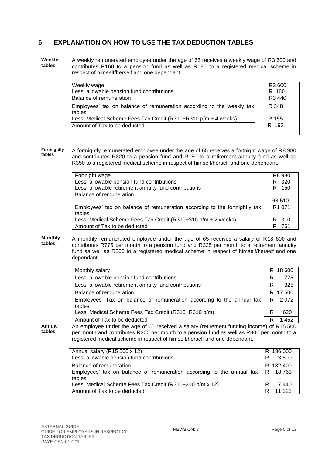#### <span id="page-4-0"></span>**6 EXPLANATION ON HOW TO USE THE TAX DEDUCTION TABLES**

**Weekly tables** A weekly remunerated employee under the age of 65 receives a weekly wage of R3 600 and contributes R160 to a pension fund as well as R180 to a registered medical scheme in respect of himself/herself and one dependant.

| Weekly wage                                                                     | R <sub>3</sub> 600 |
|---------------------------------------------------------------------------------|--------------------|
| Less: allowable pension fund contributions                                      | R 160              |
| Balance of remuneration                                                         | R <sub>3</sub> 440 |
| Employees' tax on balance of remuneration according to the weekly tax<br>tables | R 348              |
| Less: Medical Scheme Fees Tax Credit (R310+R310 p/m $\div$ 4 weeks).            | R 155              |
| Amount of Tax to be deducted                                                    | R 193              |

**Fortnightly tables** A fortnightly remunerated employee under the age of 65 receives a fortnight wage of R8 980 and contributes R320 to a pension fund and R150 to a retirement annuity fund as well as R350 to a registered medical scheme in respect of himself/herself and one dependant.

| Fortnight wage                                                                       | R8 980             |
|--------------------------------------------------------------------------------------|--------------------|
| Less: allowable pension fund contributions                                           | R 320              |
| Less: allowable retirement annuity fund contributions                                | 150<br>R.          |
| Balance of remuneration                                                              |                    |
|                                                                                      | R8 510             |
| Employees' tax on balance of remuneration according to the fortnightly tax<br>tables | R <sub>1</sub> 071 |
| Less: Medical Scheme Fees Tax Credit (R310+310 p/m $\div$ 2 weeks)                   | R 310              |
| Amount of Tax to be deducted                                                         | 761                |

#### **Monthly tables** A monthly remunerated employee under the age of 65 receives a salary of R18 600 and contributes R775 per month to a pension fund and R325 per month to a retirement annuity fund as well as R800 to a registered medical scheme in respect of himself/herself and one dependant.

| Monthly salary                                                                  |    | R 18600  |
|---------------------------------------------------------------------------------|----|----------|
| Less: allowable pension fund contributions                                      | R  | 775      |
| Less: allowable retirement annuity fund contributions                           | R  | 325      |
| Balance of remuneration                                                         |    | R 17 500 |
| Employees' Tax on balance of remuneration according to the annual tax<br>tables | R. | 2072     |
| Less: Medical Scheme Fees Tax Credit (R310+R310 p/m)                            | R  | 620      |
| Amount of Tax to be deducted                                                    | R  | 1452     |

**Annual tables** An employee under the age of 65 received a salary (retirement funding income) of R15 500 per month and contributes R300 per month to a pension fund as well as R800 per month to a registered medical scheme in respect of himself/herself and one dependant.

| Annual salary (R15 500 x 12)<br>Less: allowable pension fund contributions                     | R 186 000<br>R<br>3 600 |
|------------------------------------------------------------------------------------------------|-------------------------|
| Balance of remuneration                                                                        | R 182 400               |
| Employees' tax on balance of remuneration according to the annual tax $\mid R$ 18763<br>tables |                         |
| Less: Medical Scheme Fees Tax Credit (R310+310 p/m x 12)                                       | R<br>7 440              |
| Amount of Tax to be deducted                                                                   | 11.323<br>R             |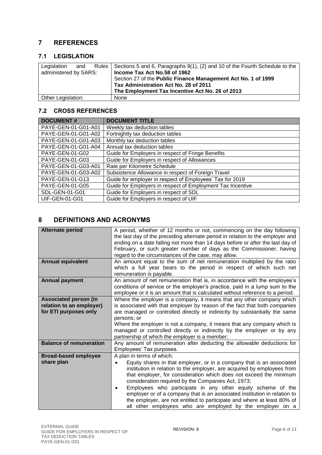#### <span id="page-5-0"></span>**7 REFERENCES**

#### <span id="page-5-1"></span>**7.1 LEGISLATION**

| Legislation<br>and    | Rules   Sections 5 and 6, Paragraphs 9(1), (2) and 10 of the Fourth Schedule to the |
|-----------------------|-------------------------------------------------------------------------------------|
| administered by SARS: | Income Tax Act No.58 of 1962                                                        |
|                       | Section 27 of the Public Finance Management Act No. 1 of 1999                       |
|                       | Tax Administration Act No. 28 of 2011                                               |
|                       | The Employment Tax Incentive Act No. 26 of 2013                                     |
| Other Legislation:    | None                                                                                |

#### <span id="page-5-2"></span>**7.2 CROSS REFERENCES**

| <b>DOCUMENT#</b>      | <b>DOCUMENT TITLE</b>                                      |
|-----------------------|------------------------------------------------------------|
| PAYE-GEN-01-G01-A01   | Weekly tax deduction tables                                |
| PAYE-GEN-01-G01-A02   | Fortnightly tax deduction tables                           |
| PAYE-GEN-01-G01-A03   | Monthly tax deduction tables                               |
| PAYE-GEN-01-G01-A04   | Annual tax deduction tables                                |
| PAYE-GEN-01-G02       | Guide for Employers in respect of Fringe Benefits          |
| PAYE-GEN-01-G03       | Guide for Employers in respect of Allowances               |
| PAYE-GEN-01-G03-A01   | Rate per Kilometre Schedule                                |
| PAYE-GEN-01-G03-A02   | Subsistence Allowance in respect of Foreign Travel         |
| PAYE-GEN-01-G13       | Guide for employer in respect of Employees' Tax for 2019   |
| PAYE-GEN-01-G05       | Guide for Employers in respect of Employment Tax Incentive |
| SDL-GEN-01-G01        | Guide for Employers in respect of SDL                      |
| <b>UIF-GEN-01-G01</b> | Guide for Employers in respect of UIF                      |

#### <span id="page-5-3"></span>**8 DEFINITIONS AND ACRONYMS**

| <b>Alternate period</b>        | A period, whether of 12 months or not, commencing on the day following             |
|--------------------------------|------------------------------------------------------------------------------------|
|                                | the last day of the preceding alternate period in relation to the employer and     |
|                                | ending on a date falling not more than 14 days before or after the last day of     |
|                                | February, or such greater number of days as the Commissioner, having               |
|                                | regard to the circumstances of the case, may allow.                                |
|                                |                                                                                    |
| <b>Annual equivalent</b>       | An amount equal to the sum of net remuneration multiplied by the ratio             |
|                                | which a full year bears to the period in respect of which such net                 |
|                                | remuneration is payable.                                                           |
| <b>Annual payment</b>          | An amount of net remuneration that is, in accordance with the employee's           |
|                                | conditions of service or the employer's practice, paid in a lump sum to the        |
|                                | employee or it is an amount that is calculated without reference to a period.      |
| <b>Associated person (in</b>   | Where the employer is a company, it means that any other company which             |
| relation to an employer)       | is associated with that employer by reason of the fact that both companies         |
| for ETI purposes only          | are managed or controlled directly or indirectly by substantially the same         |
|                                | persons; or                                                                        |
|                                | Where the employer is not a company, it means that any company which is            |
|                                | managed or controlled directly or indirectly by the employer or by any             |
|                                | partnership of which the employer is a member;                                     |
| <b>Balance of remuneration</b> | Any amount of remuneration after deducting the allowable deductions for            |
|                                | Employees' Tax purposes.                                                           |
| <b>Broad-based employee</b>    | A plan in terms of which:                                                          |
| share plan                     | Equity shares in that employer, or in a company that is an associated<br>$\bullet$ |
|                                | institution in relation to the employer, are acquired by employees from            |
|                                | that employer, for consideration which does not exceed the minimum                 |
|                                |                                                                                    |
|                                | consideration required by the Companies Act, 1973;                                 |
|                                | Employees who participate in any other equity scheme of the<br>٠                   |
|                                | employer or of a company that is an associated institution in relation to          |
|                                | the employer, are not entitled to participate and where at least 80% of            |
|                                | all other employees who are employed by the employer on a                          |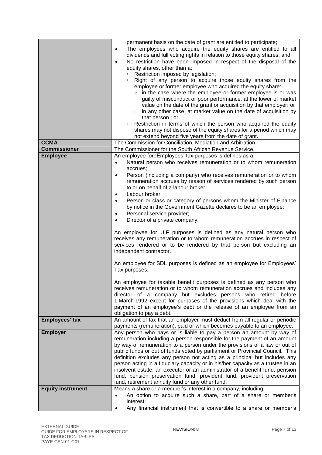|                          | permanent basis on the date of grant are entitled to participate;<br>The employees who acquire the equity shares are entitled to all<br>$\bullet$<br>dividends and full voting rights in relation to those equity shares; and<br>No restriction have been imposed in respect of the disposal of the<br>$\bullet$<br>equity shares, other than a:<br>Restriction imposed by legislation;<br>Right of any person to acquire those equity shares from the |
|--------------------------|--------------------------------------------------------------------------------------------------------------------------------------------------------------------------------------------------------------------------------------------------------------------------------------------------------------------------------------------------------------------------------------------------------------------------------------------------------|
|                          | employee or former employee who acquired the equity share:                                                                                                                                                                                                                                                                                                                                                                                             |
|                          | $\circ$ in the case where the employee or former employee is or was<br>guilty of misconduct or poor performance, at the lower of market                                                                                                                                                                                                                                                                                                                |
|                          | value on the date of the grant or acquisition by that employer; or                                                                                                                                                                                                                                                                                                                                                                                     |
|                          | $\circ$ in any other case, at market value on the date of acquisition by                                                                                                                                                                                                                                                                                                                                                                               |
|                          | that person.; or                                                                                                                                                                                                                                                                                                                                                                                                                                       |
|                          | Restriction in terms of which the person who acquired the equity<br>$\Box$<br>shares may not dispose of the equity shares for a period which may                                                                                                                                                                                                                                                                                                       |
|                          | not extend beyond five years from the date of grant.                                                                                                                                                                                                                                                                                                                                                                                                   |
| <b>CCMA</b>              | The Commission for Conciliation, Mediation and Arbitration.                                                                                                                                                                                                                                                                                                                                                                                            |
| <b>Commissioner</b>      | The Commissioner for the South African Revenue Service.                                                                                                                                                                                                                                                                                                                                                                                                |
| <b>Employee</b>          | An employee foreEmployees' tax purposes is defines as a:                                                                                                                                                                                                                                                                                                                                                                                               |
|                          | Natural person who receives remuneration or to whom remuneration<br>$\bullet$                                                                                                                                                                                                                                                                                                                                                                          |
|                          | accrues;<br>Person (including a company) who receives remuneration or to whom                                                                                                                                                                                                                                                                                                                                                                          |
|                          | $\bullet$<br>remuneration accrues by reason of services rendered by such person                                                                                                                                                                                                                                                                                                                                                                        |
|                          | to or on behalf of a labour broker;                                                                                                                                                                                                                                                                                                                                                                                                                    |
|                          | Labour broker;<br>$\bullet$                                                                                                                                                                                                                                                                                                                                                                                                                            |
|                          | Person or class or category of persons whom the Minister of Finance<br>$\bullet$                                                                                                                                                                                                                                                                                                                                                                       |
|                          | by notice in the Government Gazette declares to be an employee;                                                                                                                                                                                                                                                                                                                                                                                        |
|                          | Personal service provider;<br>$\bullet$<br>Director of a private company.<br>$\bullet$                                                                                                                                                                                                                                                                                                                                                                 |
|                          |                                                                                                                                                                                                                                                                                                                                                                                                                                                        |
|                          | An employee for UIF purposes is defined as any natural person who<br>receives any remuneration or to whom remuneration accrues in respect of<br>services rendered or to be rendered by that person but excluding an<br>independent contractor.                                                                                                                                                                                                         |
|                          | An employee for SDL purposes is defined as an employee for Employees'<br>Tax purposes.                                                                                                                                                                                                                                                                                                                                                                 |
|                          | An employee for taxable benefit purposes is defined as any person who                                                                                                                                                                                                                                                                                                                                                                                  |
|                          | receives remuneration or to whom remuneration accrues and includes any                                                                                                                                                                                                                                                                                                                                                                                 |
|                          | director of a company but excludes persons who retired before<br>1 March 1992 except for purposes of the provisions which deal with the                                                                                                                                                                                                                                                                                                                |
|                          | payment of an employee's debt or the release of an employee from an                                                                                                                                                                                                                                                                                                                                                                                    |
|                          | obligation to pay a debt.                                                                                                                                                                                                                                                                                                                                                                                                                              |
| Employees' tax           | An amount of tax that an employer must deduct from all regular or periodic                                                                                                                                                                                                                                                                                                                                                                             |
|                          | payments (remuneration), paid or which becomes payable to an employee.                                                                                                                                                                                                                                                                                                                                                                                 |
| <b>Employer</b>          | Any person who pays or is liable to pay a person an amount by way of<br>remuneration including a person responsible for the payment of an amount                                                                                                                                                                                                                                                                                                       |
|                          | by way of remuneration to a person under the provisions of a law or out of                                                                                                                                                                                                                                                                                                                                                                             |
|                          | public funds or out of funds voted by parliament or Provincial Council. This                                                                                                                                                                                                                                                                                                                                                                           |
|                          | definition excludes any person not acting as a principal but includes any                                                                                                                                                                                                                                                                                                                                                                              |
|                          | person acting in a fiduciary capacity or in his/her capacity as a trustee in an                                                                                                                                                                                                                                                                                                                                                                        |
|                          | insolvent estate, an executor or an administrator of a benefit fund, pension<br>fund, pension preservation fund, provident fund, provident preservation                                                                                                                                                                                                                                                                                                |
|                          | fund, retirement annuity fund or any other fund.                                                                                                                                                                                                                                                                                                                                                                                                       |
| <b>Equity instrument</b> | Means a share or a member's interest in a company, including:                                                                                                                                                                                                                                                                                                                                                                                          |
|                          | An option to acquire such a share, part of a share or member's                                                                                                                                                                                                                                                                                                                                                                                         |
|                          | interest;                                                                                                                                                                                                                                                                                                                                                                                                                                              |
|                          | Any financial instrument that is convertible to a share or member's                                                                                                                                                                                                                                                                                                                                                                                    |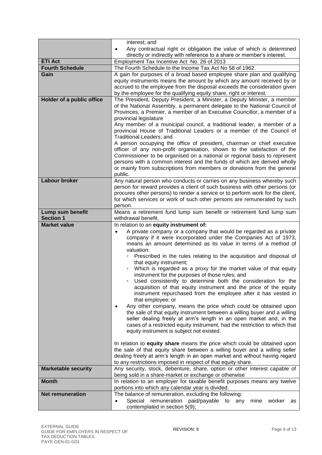|                                          | interest; and                                                                                                                                                                                                                                                                                                                                                                                                                                                                                                                                                                                                                                                                                                                                                                                                                                                                                                                                                                                                                                                                                                                                                                                                                                                                                                                                                                                                                   |
|------------------------------------------|---------------------------------------------------------------------------------------------------------------------------------------------------------------------------------------------------------------------------------------------------------------------------------------------------------------------------------------------------------------------------------------------------------------------------------------------------------------------------------------------------------------------------------------------------------------------------------------------------------------------------------------------------------------------------------------------------------------------------------------------------------------------------------------------------------------------------------------------------------------------------------------------------------------------------------------------------------------------------------------------------------------------------------------------------------------------------------------------------------------------------------------------------------------------------------------------------------------------------------------------------------------------------------------------------------------------------------------------------------------------------------------------------------------------------------|
|                                          | Any contractual right or obligation the value of which is determined                                                                                                                                                                                                                                                                                                                                                                                                                                                                                                                                                                                                                                                                                                                                                                                                                                                                                                                                                                                                                                                                                                                                                                                                                                                                                                                                                            |
|                                          | directly or indirectly with reference to a share or member's interest.                                                                                                                                                                                                                                                                                                                                                                                                                                                                                                                                                                                                                                                                                                                                                                                                                                                                                                                                                                                                                                                                                                                                                                                                                                                                                                                                                          |
| <b>ETI Act</b><br><b>Fourth Schedule</b> | Employment Tax Incentive Act No. 26 of 2013                                                                                                                                                                                                                                                                                                                                                                                                                                                                                                                                                                                                                                                                                                                                                                                                                                                                                                                                                                                                                                                                                                                                                                                                                                                                                                                                                                                     |
| Gain                                     | The Fourth Schedule to the Income Tax Act No 58 of 1962.<br>A gain for purposes of a broad based employee share plan and qualifying                                                                                                                                                                                                                                                                                                                                                                                                                                                                                                                                                                                                                                                                                                                                                                                                                                                                                                                                                                                                                                                                                                                                                                                                                                                                                             |
|                                          | equity instruments means the amount by which any amount received by or<br>accrued to the employee from the disposal exceeds the consideration given<br>by the employee for the qualifying equity share, right or interest.                                                                                                                                                                                                                                                                                                                                                                                                                                                                                                                                                                                                                                                                                                                                                                                                                                                                                                                                                                                                                                                                                                                                                                                                      |
| Holder of a public office                | The President, Deputy President, a Minister, a Deputy Minister, a member                                                                                                                                                                                                                                                                                                                                                                                                                                                                                                                                                                                                                                                                                                                                                                                                                                                                                                                                                                                                                                                                                                                                                                                                                                                                                                                                                        |
|                                          | of the National Assembly, a permanent delegate to the National Council of<br>Provinces, a Premier, a member of an Executive Councillor, a member of a<br>provincial legislature<br>Any member of a municipal council, a traditional leader, a member of a                                                                                                                                                                                                                                                                                                                                                                                                                                                                                                                                                                                                                                                                                                                                                                                                                                                                                                                                                                                                                                                                                                                                                                       |
|                                          | provincial House of Traditional Leaders or a member of the Council of<br>Traditional Leaders; and                                                                                                                                                                                                                                                                                                                                                                                                                                                                                                                                                                                                                                                                                                                                                                                                                                                                                                                                                                                                                                                                                                                                                                                                                                                                                                                               |
|                                          | A person occupying the office of president, chairman or chief executive<br>officer of any non-profit organisation, shown to the satisfaction of the<br>Commissioner to be organised on a national or regional basis to represent<br>persons with a common interest and the funds of which are derived wholly<br>or mainly from subscriptions from members or donations from the general                                                                                                                                                                                                                                                                                                                                                                                                                                                                                                                                                                                                                                                                                                                                                                                                                                                                                                                                                                                                                                         |
|                                          | public.                                                                                                                                                                                                                                                                                                                                                                                                                                                                                                                                                                                                                                                                                                                                                                                                                                                                                                                                                                                                                                                                                                                                                                                                                                                                                                                                                                                                                         |
| <b>Labour broker</b>                     | Any natural person who conducts or carries on any business whereby such<br>person for reward provides a client of such business with other persons (or<br>procures other persons) to render a service or to perform work for the client,<br>for which services or work of such other persons are remunerated by such<br>person.                                                                                                                                                                                                                                                                                                                                                                                                                                                                                                                                                                                                                                                                                                                                                                                                                                                                                                                                                                                                                                                                                                 |
| Lump sum benefit                         | Means a retirement fund lump sum benefit or retirement fund lump sum                                                                                                                                                                                                                                                                                                                                                                                                                                                                                                                                                                                                                                                                                                                                                                                                                                                                                                                                                                                                                                                                                                                                                                                                                                                                                                                                                            |
| <b>Section 1</b>                         | withdrawal benefit.                                                                                                                                                                                                                                                                                                                                                                                                                                                                                                                                                                                                                                                                                                                                                                                                                                                                                                                                                                                                                                                                                                                                                                                                                                                                                                                                                                                                             |
| <b>Market value</b>                      | In relation to an equity instrument of:<br>A private company or a company that would be regarded as a private<br>$\bullet$<br>company if it were incorporated under the Companies Act of 1973,<br>means an amount determined as its value in terms of a method of<br>valuation:<br>Prescribed in the rules relating to the acquisition and disposal of<br>that equity instrument;<br>Which is regarded as a proxy for the market value of that equity<br>$\Box$<br>instrument for the purposes of those rules; and<br>• Used consistently to determine both the consideration for the<br>acquisition of that equity instrument and the price of the equity<br>instrument repurchased from the employee after it has vested in<br>that employee; or<br>Any other company, means the price which could be obtained upon<br>$\bullet$<br>the sale of that equity instrument between a willing buyer and a willing<br>seller dealing freely at arm's length in an open market and, in the<br>cases of a restricted equity instrument, had the restriction to which that<br>equity instrument is subject not existed.<br>In relation to <b>equity share</b> means the price which could be obtained upon<br>the sale of that equity share between a willing buyer and a willing seller<br>dealing freely at arm's length in an open market and without having regard<br>to any restrictions imposed in respect of that equity share. |
| <b>Marketable security</b>               | Any security, stock, debenture, share, option or other interest capable of                                                                                                                                                                                                                                                                                                                                                                                                                                                                                                                                                                                                                                                                                                                                                                                                                                                                                                                                                                                                                                                                                                                                                                                                                                                                                                                                                      |
|                                          | being sold in a share-market or exchange or otherwise                                                                                                                                                                                                                                                                                                                                                                                                                                                                                                                                                                                                                                                                                                                                                                                                                                                                                                                                                                                                                                                                                                                                                                                                                                                                                                                                                                           |
| <b>Month</b>                             | In relation to an employer for taxable benefit purposes means any twelve<br>portions into which any calendar year is divided.                                                                                                                                                                                                                                                                                                                                                                                                                                                                                                                                                                                                                                                                                                                                                                                                                                                                                                                                                                                                                                                                                                                                                                                                                                                                                                   |
| <b>Net remuneration</b>                  | The balance of remuneration, excluding the following:                                                                                                                                                                                                                                                                                                                                                                                                                                                                                                                                                                                                                                                                                                                                                                                                                                                                                                                                                                                                                                                                                                                                                                                                                                                                                                                                                                           |
|                                          | Special remuneration paid/payable to<br>worker<br>any<br>mine<br>$\bullet$<br>as<br>contemplated in section 5(9);                                                                                                                                                                                                                                                                                                                                                                                                                                                                                                                                                                                                                                                                                                                                                                                                                                                                                                                                                                                                                                                                                                                                                                                                                                                                                                               |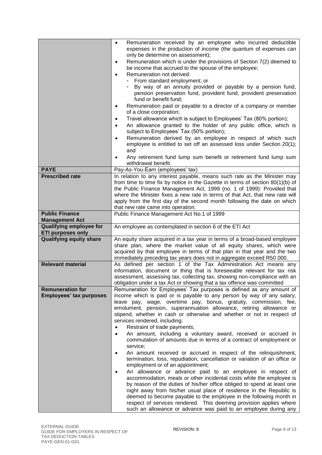|                                                            | Remuneration received by an employee who incurred deductible<br>$\bullet$<br>expenses in the production of income (the quantum of expenses can<br>only be determine on assessment);                                                                                                                                                                                                              |
|------------------------------------------------------------|--------------------------------------------------------------------------------------------------------------------------------------------------------------------------------------------------------------------------------------------------------------------------------------------------------------------------------------------------------------------------------------------------|
|                                                            | Remuneration which is under the provisions of Section 7(2) deemed to<br>$\bullet$<br>be income that accrued to the spouse of the employee;                                                                                                                                                                                                                                                       |
|                                                            | Remuneration not derived:<br>$\bullet$<br>From standard employment; or<br>By way of an annuity provided or payable by a pension fund,<br>pension preservation fund, provident fund, provident preservation<br>fund or benefit fund;                                                                                                                                                              |
|                                                            | Remuneration paid or payable to a director of a company or member<br>$\bullet$<br>of a close corporation;                                                                                                                                                                                                                                                                                        |
|                                                            | Travel allowance which is subject to Employees' Tax (80% portion);<br>$\bullet$<br>An allowance granted to the holder of any public office, which is<br>$\bullet$                                                                                                                                                                                                                                |
|                                                            | subject to Employees' Tax (50% portion);<br>Remuneration derived by an employee in respect of which such<br>$\bullet$                                                                                                                                                                                                                                                                            |
|                                                            | employee is entitled to set off an assessed loss under Section 20(1);<br>and                                                                                                                                                                                                                                                                                                                     |
|                                                            | Any retirement fund lump sum benefit or retirement fund lump sum<br>$\bullet$<br>withdrawal benefit.                                                                                                                                                                                                                                                                                             |
| <b>PAYE</b>                                                | Pay-As-You-Earn (employees' tax)                                                                                                                                                                                                                                                                                                                                                                 |
| <b>Prescribed rate</b>                                     | In relation to any interest payable, means such rate as the Minister may<br>from time to time fix by notice in the Gazette in terms of section 80(1)(b) of<br>the Public Finance Management Act, 1999 (no. 1 of 1999): Provided that<br>where the Minister fixes a new rate in terms of that Act, that new rate will<br>apply from the first day of the second month following the date on which |
|                                                            | that new rate came into operation.                                                                                                                                                                                                                                                                                                                                                               |
| <b>Public Finance</b><br><b>Management Act</b>             | Public Finance Management Act No.1 of 1999                                                                                                                                                                                                                                                                                                                                                       |
| <b>Qualifying employee for</b><br><b>ETI purposes only</b> | An employee as contemplated in section 6 of the ETI Act                                                                                                                                                                                                                                                                                                                                          |
| <b>Qualifying equity share</b>                             | An equity share acquired in a tax year in terms of a broad-based employee<br>share plan, where the market value of all equity shares, which were<br>acquired by that employee in terms of that plan in that year and the two<br>immediately preceding tax years does not in aggregate exceed R50 000.                                                                                            |
| <b>Relevant material</b>                                   | As defined per section 1 of the Tax Administration Act means any<br>information, document or thing that is foreseeable relevant for tax risk<br>assessment, assessing tax, collecting tax, showing non-compliance with an<br>obligation under a tax Act or showing that a tax offence was committed                                                                                              |
| <b>Remuneration for</b>                                    | Remuneration for Employees' Tax purposes is defined as any amount of                                                                                                                                                                                                                                                                                                                             |
| <b>Employees' tax purposes</b>                             | income which is paid or is payable to any person by way of any salary,                                                                                                                                                                                                                                                                                                                           |
|                                                            | leave pay, wage, overtime pay, bonus, gratuity, commission, fee,<br>emolument, pension, superannuation allowance, retiring allowance or                                                                                                                                                                                                                                                          |
|                                                            | stipend, whether in cash or otherwise and whether or not in respect of                                                                                                                                                                                                                                                                                                                           |
|                                                            | services rendered, including:                                                                                                                                                                                                                                                                                                                                                                    |
|                                                            | Restraint of trade payments;<br>$\bullet$                                                                                                                                                                                                                                                                                                                                                        |
|                                                            | An amount, including a voluntary award, received or accrued in<br>$\bullet$                                                                                                                                                                                                                                                                                                                      |
|                                                            | commutation of amounts due in terms of a contract of employment or<br>service;                                                                                                                                                                                                                                                                                                                   |
|                                                            | An amount received or accrued in respect of the relinquishment,<br>$\bullet$                                                                                                                                                                                                                                                                                                                     |
|                                                            | termination, loss, repudiation, cancellation or variation of an office or<br>employment or of an appointment;                                                                                                                                                                                                                                                                                    |
|                                                            | An allowance or advance paid to an employee in respect of<br>$\bullet$                                                                                                                                                                                                                                                                                                                           |
|                                                            | accommodation, meals or other incidental costs while the employee is                                                                                                                                                                                                                                                                                                                             |
|                                                            | by reason of the duties of his/her office obliged to spend at least one                                                                                                                                                                                                                                                                                                                          |
|                                                            | night away from his/her usual place of residence in the Republic is<br>deemed to become payable to the employee in the following month in                                                                                                                                                                                                                                                        |
|                                                            | respect of services rendered. This deeming provision applies where                                                                                                                                                                                                                                                                                                                               |
|                                                            | such an allowance or advance was paid to an employee during any                                                                                                                                                                                                                                                                                                                                  |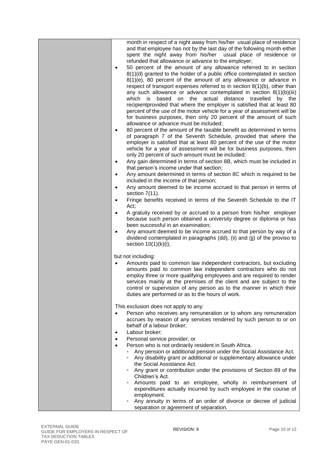| month in respect of a night away from his/her usual place of residence<br>and that employee has not by the last day of the following month either<br>spent the night away from his/her usual place of residence or<br>refunded that allowance or advance to the employer;<br>50 percent of the amount of any allowance referred to in section<br>$\bullet$<br>$8(1)(d)$ granted to the holder of a public office contemplated in section<br>$8(1)(e)$ , 80 percent of the amount of any allowance or advance in<br>respect of transport expenses referred to in section 8(1)(b), other than<br>any such allowance or advance contemplated in section $8(1)(b)(iii)$<br>which is based on the actual distance travelled by the<br>recipientprovided that where the employer is satisfied that at least 80<br>percent of the use of the motor vehicle for a year of assessment will be<br>for business purposes, then only 20 percent of the amount of such<br>allowance or advance must be included;<br>80 percent of the amount of the taxable benefit as determined in terms<br>$\bullet$<br>of paragraph 7 of the Seventh Schedule, provided that where the<br>employer is satisfied that at least 80 percent of the use of the motor<br>vehicle for a year of assessment will be for business purposes, then<br>only 20 percent of such amount must be included;<br>Any gain determined in terms of section 8B, which must be included in<br>$\bullet$<br>that person's income under that section;<br>Any amount determined in terms of section 8C which is required to be<br>$\bullet$<br>included in the income of that person;<br>Any amount deemed to be income accrued to that person in terms of<br>$\bullet$<br>section $7(11)$ .<br>Fringe benefits received in terms of the Seventh Schedule to the IT<br>$\bullet$<br>Act;<br>A gratuity received by or accrued to a person from his/her employer<br>$\bullet$<br>because such person obtained a university degree or diploma or has<br>been successful in an examination;<br>Any amount deemed to be income accrued to that person by way of a<br>$\bullet$<br>dividend contemplated in paragraphs (dd), (ii) and (jj) of the proviso to<br>section $10(1)(k)(i)$ ; |
|-----------------------------------------------------------------------------------------------------------------------------------------------------------------------------------------------------------------------------------------------------------------------------------------------------------------------------------------------------------------------------------------------------------------------------------------------------------------------------------------------------------------------------------------------------------------------------------------------------------------------------------------------------------------------------------------------------------------------------------------------------------------------------------------------------------------------------------------------------------------------------------------------------------------------------------------------------------------------------------------------------------------------------------------------------------------------------------------------------------------------------------------------------------------------------------------------------------------------------------------------------------------------------------------------------------------------------------------------------------------------------------------------------------------------------------------------------------------------------------------------------------------------------------------------------------------------------------------------------------------------------------------------------------------------------------------------------------------------------------------------------------------------------------------------------------------------------------------------------------------------------------------------------------------------------------------------------------------------------------------------------------------------------------------------------------------------------------------------------------------------------------------------------------------------------------------------------------------------------------|
|                                                                                                                                                                                                                                                                                                                                                                                                                                                                                                                                                                                                                                                                                                                                                                                                                                                                                                                                                                                                                                                                                                                                                                                                                                                                                                                                                                                                                                                                                                                                                                                                                                                                                                                                                                                                                                                                                                                                                                                                                                                                                                                                                                                                                                   |
| but not including:<br>Amounts paid to common law independent contractors, but excluding<br>$\bullet$<br>amounts paid to common law independent contractors who do not<br>employ three or more qualifying employees and are required to render<br>services mainly at the premises of the client and are subject to the<br>control or supervision of any person as to the manner in which their<br>duties are performed or as to the hours of work.                                                                                                                                                                                                                                                                                                                                                                                                                                                                                                                                                                                                                                                                                                                                                                                                                                                                                                                                                                                                                                                                                                                                                                                                                                                                                                                                                                                                                                                                                                                                                                                                                                                                                                                                                                                 |
| This exclusion does not apply to any:<br>Person who receives any remuneration or to whom any remuneration<br>accrues by reason of any services rendered by such person to or on<br>behalf of a labour broker;<br>Labour broker;<br>$\bullet$                                                                                                                                                                                                                                                                                                                                                                                                                                                                                                                                                                                                                                                                                                                                                                                                                                                                                                                                                                                                                                                                                                                                                                                                                                                                                                                                                                                                                                                                                                                                                                                                                                                                                                                                                                                                                                                                                                                                                                                      |
| Personal service provider; or<br>$\bullet$<br>Person who is not ordinarily resident in South Africa.<br>$\bullet$<br>Any pension or additional pension under the Social Assistance Act.<br>$\Box$<br>Any disability grant or additional or supplementary allowance under<br>$\Box$<br>the Social Assistance Act.<br>Any grant or contribution under the provisions of Section 89 of the                                                                                                                                                                                                                                                                                                                                                                                                                                                                                                                                                                                                                                                                                                                                                                                                                                                                                                                                                                                                                                                                                                                                                                                                                                                                                                                                                                                                                                                                                                                                                                                                                                                                                                                                                                                                                                           |
| Children's Act.<br>Amounts paid to an employee, wholly in reimbursement of<br>$\Box$<br>expenditures actually incurred by such employee in the course of<br>employment.<br>Any annuity in terms of an order of divorce or decree of judicial<br>$\Box$<br>separation or agreement of separation.                                                                                                                                                                                                                                                                                                                                                                                                                                                                                                                                                                                                                                                                                                                                                                                                                                                                                                                                                                                                                                                                                                                                                                                                                                                                                                                                                                                                                                                                                                                                                                                                                                                                                                                                                                                                                                                                                                                                  |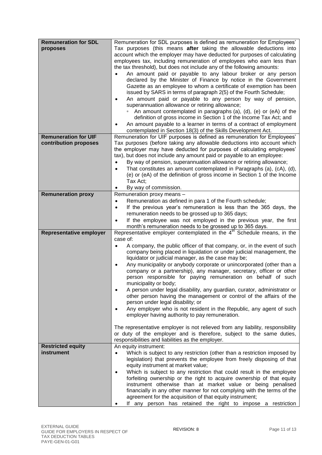| <b>Remuneration for SDL</b><br>proposes              | Remuneration for SDL purposes is defined as remuneration for Employees'<br>Tax purposes (this means after taking the allowable deductions into<br>account which the employer may have deducted for purposes of calculating<br>employees tax, including remuneration of employees who earn less than<br>the tax threshold), but does not include any of the following amounts:<br>An amount paid or payable to any labour broker or any person<br>declared by the Minister of Finance by notice in the Government<br>Gazette as an employee to whom a certificate of exemption has been<br>issued by SARS in terms of paragraph 2(5) of the Fourth Schedule;<br>An amount paid or payable to any person by way of pension,<br>superannuation allowance or retiring allowance;<br>An amount contemplated in paragraphs (a), (d), (e) or (eA) of the<br>definition of gross income in Section 1 of the Income Tax Act; and<br>An amount payable to a learner in terms of a contract of employment<br>$\bullet$<br>contemplated in Section 18(3) of the Skills Development Act. |
|------------------------------------------------------|-----------------------------------------------------------------------------------------------------------------------------------------------------------------------------------------------------------------------------------------------------------------------------------------------------------------------------------------------------------------------------------------------------------------------------------------------------------------------------------------------------------------------------------------------------------------------------------------------------------------------------------------------------------------------------------------------------------------------------------------------------------------------------------------------------------------------------------------------------------------------------------------------------------------------------------------------------------------------------------------------------------------------------------------------------------------------------|
| <b>Remuneration for UIF</b><br>contribution proposes | Remuneration for UIF purposes is defined as remuneration for Employees'<br>Tax purposes (before taking any allowable deductions into account which                                                                                                                                                                                                                                                                                                                                                                                                                                                                                                                                                                                                                                                                                                                                                                                                                                                                                                                          |
|                                                      | the employer may have deducted for purposes of calculating employees'<br>tax), but does not include any amount paid or payable to an employee:<br>By way of pension, superannuation allowance or retiring allowance;<br>$\bullet$<br>That constitutes an amount contemplated in Paragraphs (a), (cA), (d),<br>$\bullet$<br>(e) or (eA) of the definition of gross income in Section 1 of the Income<br>Tax Act;<br>By way of commission.<br>٠                                                                                                                                                                                                                                                                                                                                                                                                                                                                                                                                                                                                                               |
| <b>Remuneration proxy</b>                            | Remuneration proxy means -                                                                                                                                                                                                                                                                                                                                                                                                                                                                                                                                                                                                                                                                                                                                                                                                                                                                                                                                                                                                                                                  |
|                                                      | Remuneration as defined in para 1 of the Fourth schedule;<br>$\bullet$<br>If the previous year's remuneration is less than the 365 days, the<br>$\bullet$<br>remuneration needs to be grossed up to 365 days;<br>If the employee was not employed in the previous year, the first<br>$\bullet$<br>month's remuneration needs to be grossed up to 365 days.                                                                                                                                                                                                                                                                                                                                                                                                                                                                                                                                                                                                                                                                                                                  |
| <b>Representative employer</b>                       | Representative employer contemplated in the $4th$ Schedule means, in the                                                                                                                                                                                                                                                                                                                                                                                                                                                                                                                                                                                                                                                                                                                                                                                                                                                                                                                                                                                                    |
|                                                      | case of:<br>A company, the public officer of that company, or, in the event of such<br>$\bullet$<br>company being placed in liquidation or under judicial management, the<br>liquidator or judicial manager, as the case may be;<br>Any municipality or anybody corporate or unincorporated (other than a<br>company or a partnership), any manager, secretary, officer or other<br>person responsible for paying remuneration on behalf of such<br>municipality or body;<br>A person under legal disability, any guardian, curator, administrator or<br>٠<br>other person having the management or control of the affairs of the<br>person under legal disability; or<br>Any employer who is not resident in the Republic, any agent of such<br>$\bullet$<br>employer having authority to pay remuneration.<br>The representative employer is not relieved from any liability, responsibility                                                                                                                                                                              |
|                                                      | or duty of the employer and is therefore, subject to the same duties,<br>responsibilities and liabilities as the employer.                                                                                                                                                                                                                                                                                                                                                                                                                                                                                                                                                                                                                                                                                                                                                                                                                                                                                                                                                  |
| <b>Restricted equity</b><br>instrument               | An equity instrument:<br>Which is subject to any restriction (other than a restriction imposed by<br>$\bullet$<br>legislation) that prevents the employee from freely disposing of that<br>equity instrument at market value;<br>Which is subject to any restriction that could result in the employee<br>$\bullet$<br>forfeiting ownership or the right to acquire ownership of that equity<br>instrument otherwise than at market value or being penalised<br>financially in any other manner for not complying with the terms of the<br>agreement for the acquisition of that equity instrument;<br>If any person has retained the right to impose a restriction                                                                                                                                                                                                                                                                                                                                                                                                         |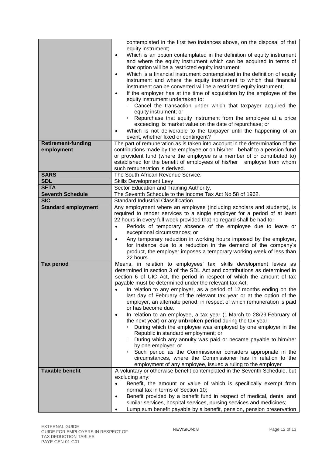|                                          | contemplated in the first two instances above, on the disposal of that<br>equity instrument;<br>Which is an option contemplated in the definition of equity instrument<br>$\bullet$<br>and where the equity instrument which can be acquired in terms of<br>that option will be a restricted equity instrument;<br>Which is a financial instrument contemplated in the definition of equity<br>$\bullet$<br>instrument and where the equity instrument to which that financial<br>instrument can be converted will be a restricted equity instrument;<br>If the employer has at the time of acquisition by the employee of the<br>$\bullet$ |
|------------------------------------------|---------------------------------------------------------------------------------------------------------------------------------------------------------------------------------------------------------------------------------------------------------------------------------------------------------------------------------------------------------------------------------------------------------------------------------------------------------------------------------------------------------------------------------------------------------------------------------------------------------------------------------------------|
|                                          | equity instrument undertaken to:<br>• Cancel the transaction under which that taxpayer acquired the                                                                                                                                                                                                                                                                                                                                                                                                                                                                                                                                         |
|                                          | equity instrument; or<br>• Repurchase that equity instrument from the employee at a price<br>exceeding its market value on the date of repurchase; or<br>Which is not deliverable to the taxpayer until the happening of an<br>$\bullet$                                                                                                                                                                                                                                                                                                                                                                                                    |
|                                          | event, whether fixed or contingent?                                                                                                                                                                                                                                                                                                                                                                                                                                                                                                                                                                                                         |
| <b>Retirement-funding</b>                | The part of remuneration as is taken into account in the determination of the                                                                                                                                                                                                                                                                                                                                                                                                                                                                                                                                                               |
| employment                               | contributions made by the employee or on his/her behalf to a pension fund                                                                                                                                                                                                                                                                                                                                                                                                                                                                                                                                                                   |
|                                          | or provident fund (where the employee is a member of or contributed to)<br>established for the benefit of employees of his/her employer from whom                                                                                                                                                                                                                                                                                                                                                                                                                                                                                           |
|                                          | such remuneration is derived.                                                                                                                                                                                                                                                                                                                                                                                                                                                                                                                                                                                                               |
| <b>SARS</b>                              | The South African Revenue Service.                                                                                                                                                                                                                                                                                                                                                                                                                                                                                                                                                                                                          |
| <b>SDL</b>                               | Skills Development Levy                                                                                                                                                                                                                                                                                                                                                                                                                                                                                                                                                                                                                     |
| <b>SETA</b>                              | Sector Education and Training Authority.                                                                                                                                                                                                                                                                                                                                                                                                                                                                                                                                                                                                    |
| <b>Seventh Schedule</b>                  | The Seventh Schedule to the Income Tax Act No 58 of 1962.                                                                                                                                                                                                                                                                                                                                                                                                                                                                                                                                                                                   |
| <b>SIC</b><br><b>Standard employment</b> | <b>Standard Industrial Classification</b><br>Any employment where an employee (including scholars and students), is                                                                                                                                                                                                                                                                                                                                                                                                                                                                                                                         |
|                                          | required to render services to a single employer for a period of at least<br>22 hours in every full week provided that no regard shall be had to:<br>Periods of temporary absence of the employee due to leave or<br>exceptional circumstances; or<br>Any temporary reduction in working hours imposed by the employer,<br>٠<br>for instance due to a reduction in the demand of the company's<br>product, the employer imposes a temporary working week of less than<br>22 hours.                                                                                                                                                          |
| <b>Tax period</b>                        | Means, in relation to employees' tax, skills development levies as<br>determined in section 3 of the SDL Act and contributions as determined in<br>section 6 of UIC Act, the period in respect of which the amount of tax<br>payable must be determined under the relevant tax Act.                                                                                                                                                                                                                                                                                                                                                         |
|                                          | In relation to any employer, as a period of 12 months ending on the<br>last day of February of the relevant tax year or at the option of the<br>employer, an alternate period, in respect of which remuneration is paid<br>or has become due.                                                                                                                                                                                                                                                                                                                                                                                               |
|                                          | In relation to an employee, a tax year (1 March to 28/29 February of<br>$\bullet$<br>the next year) or any unbroken period during the tax year:<br>During which the employee was employed by one employer in the<br>Republic in standard employment; or                                                                                                                                                                                                                                                                                                                                                                                     |
|                                          | During which any annuity was paid or became payable to him/her<br>$\Box$<br>by one employer; or<br>Such period as the Commissioner considers appropriate in the<br>$\Box$<br>circumstances, where the Commissioner has in relation to the                                                                                                                                                                                                                                                                                                                                                                                                   |
| <b>Taxable benefit</b>                   | employment of any employee, issued a ruling to the employer<br>A voluntary or otherwise benefit contemplated in the Seventh Schedule, but                                                                                                                                                                                                                                                                                                                                                                                                                                                                                                   |
|                                          | excluding any:                                                                                                                                                                                                                                                                                                                                                                                                                                                                                                                                                                                                                              |
|                                          | Benefit, the amount or value of which is specifically exempt from<br>$\bullet$                                                                                                                                                                                                                                                                                                                                                                                                                                                                                                                                                              |
|                                          | normal tax in terms of Section 10;                                                                                                                                                                                                                                                                                                                                                                                                                                                                                                                                                                                                          |
|                                          | Benefit provided by a benefit fund in respect of medical, dental and<br>$\bullet$                                                                                                                                                                                                                                                                                                                                                                                                                                                                                                                                                           |
|                                          | similar services, hospital services, nursing services and medicines;                                                                                                                                                                                                                                                                                                                                                                                                                                                                                                                                                                        |
|                                          | Lump sum benefit payable by a benefit, pension, pension preservation<br>$\bullet$                                                                                                                                                                                                                                                                                                                                                                                                                                                                                                                                                           |